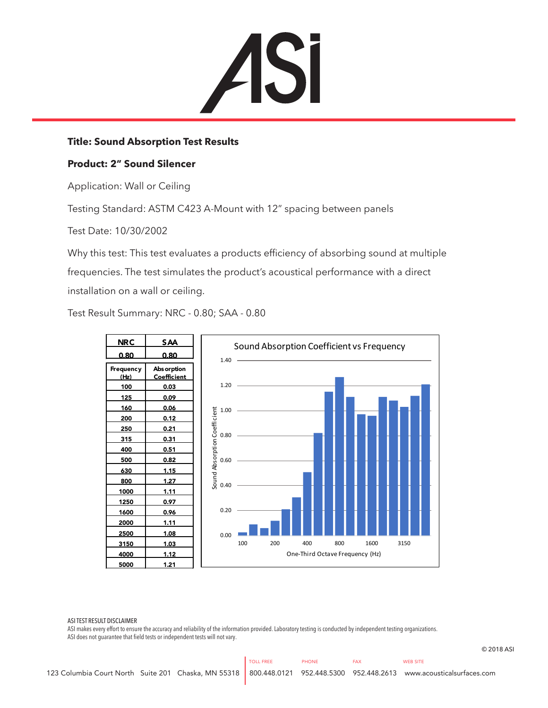

## **Title: Sound Absorption Test Results**

## **Product: 2" Sound Silencer**

Application: Wall or Ceiling

Testing Standard: ASTM C423 A-Mount with 12" spacing between panels

Test Date: 10/30/2002

Why this test: This test evaluates a products efficiency of absorbing sound at multiple frequencies. The test simulates the product's acoustical performance with a direct installation on a wall or ceiling.

Test Result Summary: NRC - 0.80; SAA - 0.80



ASI TEST RESULT DISCLAIMER

ASI makes every effort to ensure the accuracy and reliability of the information provided. Laboratory testing is conducted by independent testing organizations. ASI does not guarantee that field tests or independent tests will not vary.

© 2018 ASI